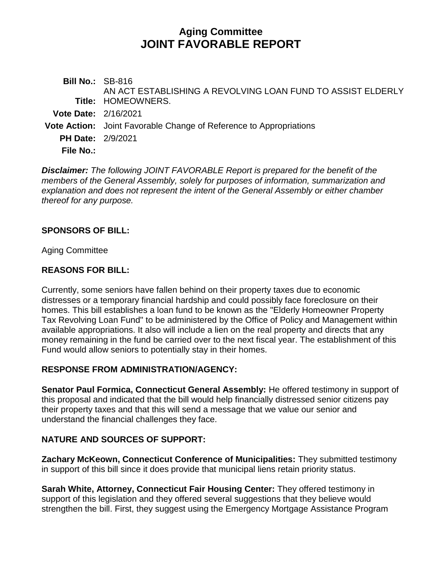# **Aging Committee JOINT FAVORABLE REPORT**

**Bill No.:** SB-816 **Title:** HOMEOWNERS. AN ACT ESTABLISHING A REVOLVING LOAN FUND TO ASSIST ELDERLY **Vote Date:** 2/16/2021 **Vote Action:** Joint Favorable Change of Reference to Appropriations **PH Date:** 2/9/2021

**File No.:**

*Disclaimer: The following JOINT FAVORABLE Report is prepared for the benefit of the members of the General Assembly, solely for purposes of information, summarization and explanation and does not represent the intent of the General Assembly or either chamber thereof for any purpose.*

### **SPONSORS OF BILL:**

Aging Committee

### **REASONS FOR BILL:**

Currently, some seniors have fallen behind on their property taxes due to economic distresses or a temporary financial hardship and could possibly face foreclosure on their homes. This bill establishes a loan fund to be known as the "Elderly Homeowner Property Tax Revolving Loan Fund" to be administered by the Office of Policy and Management within available appropriations. It also will include a lien on the real property and directs that any money remaining in the fund be carried over to the next fiscal year. The establishment of this Fund would allow seniors to potentially stay in their homes.

# **RESPONSE FROM ADMINISTRATION/AGENCY:**

**Senator Paul Formica, Connecticut General Assembly:** He offered testimony in support of this proposal and indicated that the bill would help financially distressed senior citizens pay their property taxes and that this will send a message that we value our senior and understand the financial challenges they face.

# **NATURE AND SOURCES OF SUPPORT:**

**Zachary McKeown, Connecticut Conference of Municipalities:** They submitted testimony in support of this bill since it does provide that municipal liens retain priority status.

**Sarah White, Attorney, Connecticut Fair Housing Center:** They offered testimony in support of this legislation and they offered several suggestions that they believe would strengthen the bill. First, they suggest using the Emergency Mortgage Assistance Program